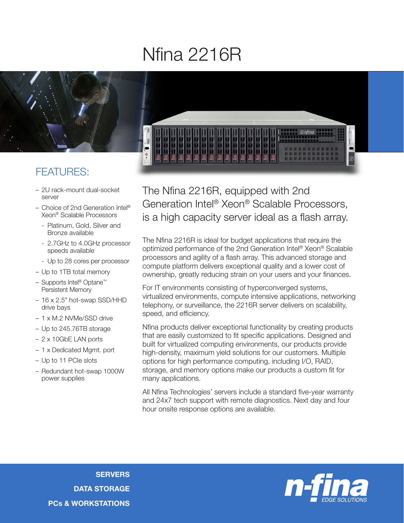## Nfina 2216R



## FEATURES:

- 2U rack-mount dual-socket server
- Choice of 2nd Generation Intel® Xeon® Scalable Processors
	- Platinum, Gold, Silver and Bronze available
	- 2.7GHz to 4.0GHz processor speeds available
	- Up to 28 cores per processor
- Up to 1TB total memory
- Supports Intel® Optane™ Persistent Memory
- 16 x 2.5" hot-swap SSD/HHD drive bays
- 1 x M.2 NVMe/SSD drive
- Up to 245.76TB storage
- 2 x 10GbE LAN ports
- 1 x Dedicated Mgmt. port
- Up to 11 PCIe slots
- Redundant hot-swap 1000W power supplies



The Nfina 2216R, equipped with 2nd Generation Intel® Xeon® Scalable Processors, is a high capacity server ideal as a flash array.

The Nfina 2216R is ideal for budget applications that require the optimized performance of the 2nd Generation Intel® Xeon® Scalable processors and agility of a flash array. This advanced storage and compute platform delivers exceptional quality and a lower cost of ownership, greatly reducing strain on your users and your finances.

For IT environments consisting of hyperconverged systems, virtualized environments, compute intensive applications, networking telephony, or surveillance, the 2216R server delivers on scalability, speed, and efficiency.

Nfina products deliver exceptional functionality by creating products that are easily customized to fit specific applications. Designed and built for virtualized computing environments, our products provide high-density, maximum yield solutions for our customers. Multiple options for high performance computing, including I/O, RAID, storage, and memory options make our products a custom fit for many applications.

All Nfina Technologies' servers include a standard five-year warranty and 24x7 tech support with remote diagnostics. Next day and four hour onsite response options are available.

**SERVERS** DATA STORAGE PCs & WORKSTATIONS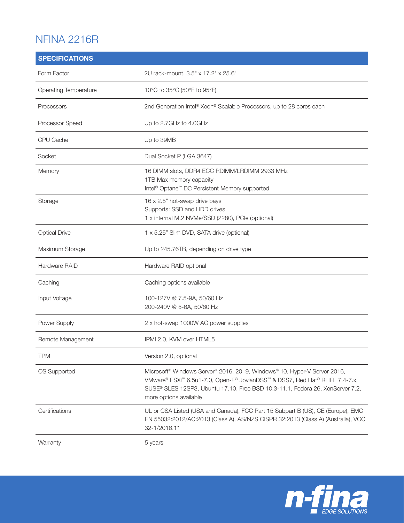## NFINA 2216R

| <b>SPECIFICATIONS</b>        |                                                                                                                                                                                                                                                                                           |
|------------------------------|-------------------------------------------------------------------------------------------------------------------------------------------------------------------------------------------------------------------------------------------------------------------------------------------|
| Form Factor                  | 2U rack-mount, 3.5" x 17.2" x 25.6"                                                                                                                                                                                                                                                       |
| <b>Operating Temperature</b> | 10°C to 35°C (50°F to 95°F)                                                                                                                                                                                                                                                               |
| Processors                   | 2nd Generation Intel® Xeon® Scalable Processors, up to 28 cores each                                                                                                                                                                                                                      |
| Processor Speed              | Up to 2.7GHz to 4.0GHz                                                                                                                                                                                                                                                                    |
| CPU Cache                    | Up to 39MB                                                                                                                                                                                                                                                                                |
| Socket                       | Dual Socket P (LGA 3647)                                                                                                                                                                                                                                                                  |
| Memory                       | 16 DIMM slots, DDR4 ECC RDIMM/LRDIMM 2933 MHz<br>1TB Max memory capacity<br>Intel <sup>®</sup> Optane <sup>™</sup> DC Persistent Memory supported                                                                                                                                         |
| Storage                      | 16 x 2.5" hot-swap drive bays<br>Supports: SSD and HDD drives<br>1 x internal M.2 NVMe/SSD (2280), PCle (optional)                                                                                                                                                                        |
| <b>Optical Drive</b>         | 1 x 5.25" Slim DVD, SATA drive (optional)                                                                                                                                                                                                                                                 |
| Maximum Storage              | Up to 245.76TB, depending on drive type                                                                                                                                                                                                                                                   |
| Hardware RAID                | Hardware RAID optional                                                                                                                                                                                                                                                                    |
| Caching                      | Caching options available                                                                                                                                                                                                                                                                 |
| Input Voltage                | 100-127V @ 7.5-9A, 50/60 Hz<br>200-240V @ 5-6A, 50/60 Hz                                                                                                                                                                                                                                  |
| Power Supply                 | 2 x hot-swap 1000W AC power supplies                                                                                                                                                                                                                                                      |
| Remote Management            | IPMI 2.0, KVM over HTML5                                                                                                                                                                                                                                                                  |
| <b>TPM</b>                   | Version 2.0, optional                                                                                                                                                                                                                                                                     |
| OS Supported                 | Microsoft <sup>®</sup> Windows Server® 2016, 2019, Windows® 10, Hyper-V Server 2016,<br>VMware® ESXi <sup>™</sup> 6.5u1-7.0, Open-E® JovianDSS™ & DSS7, Red Hat® RHEL 7.4-7.x,<br>SUSE® SLES 12SP3, Ubuntu 17.10, Free BSD 10.3-11.1, Fedora 26, XenServer 7.2,<br>more options available |
| Certifications               | UL or CSA Listed (USA and Canada), FCC Part 15 Subpart B (US), CE (Europe), EMC<br>EN 55032:2012/AC:2013 (Class A), AS/NZS CISPR 32:2013 (Class A) (Australia), VCC<br>32-1/2016.11                                                                                                       |
| Warranty                     | 5 years                                                                                                                                                                                                                                                                                   |